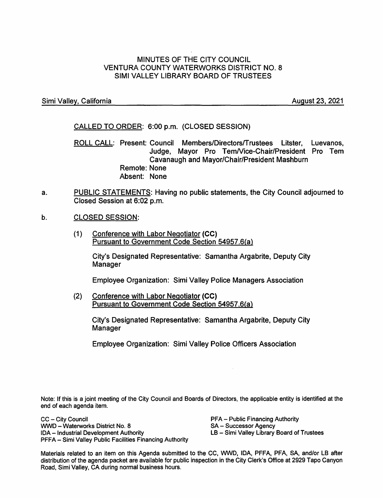# MINUTES OF THE CITY COUNCIL VENTURA COUNTY WATERWORKS DISTRICT NO. 8 SIMI VALLEY LIBRARY BOARD OF TRUSTEES

#### Simi Valley, California August 23, 2021

CALLED TO ORDER: 6:00 p.m. (CLOSED SESSION)

ROLL CALL: Present: Council Members/Directors/Trustees Litster, Luevanos, Judge, Mayor Pro TemNice-Chair/President Pro Tern Cavanaugh and Mayor/Chair/President Mashburn Remote: None Absent: None

- a. PUBLIC STATEMENTS: Having no public statements, the City Council adjourned to Closed Session at 6:02 p.m.
- b. CLOSED SESSION:
	- (1) Conference with Labor Negotiator **(CC)**  Pursuant to Government Code Section 54957 .6(a)

City's Designated Representative: Samantha Argabrite, Deputy City Manager

Employee Organization: Simi Valley Police Managers Association

(2) Conference with Labor Negotiator **(CC)**  Pursuant to Government Code Section 54957.6(a)

> City's Designated Representative: Samantha Argabrite, Deputy City Manager

Employee Organization: Simi Valley Police Officers Association

Note: If this is a joint meeting of the City Council and Boards of Directors, the applicable entity is identified at the end of each agenda item.

CC - City Council WWD - Waterworks District No. 8 IDA - Industrial Development Authority PFFA - Simi Valley Public Facilities Financing Authority

PFA - Public Financing Authority SA - Successor Agency LB - Simi Valley Library Board of Trustees

Materials related to an item on this Agenda submitted to the CC, WWD, IDA, PFFA, PFA. SA, and/or LB after distribution of the agenda packet are available for public inspection in the City Clerk's Office at 2929 Tapo Canyon Road, Simi Valley, CA during normal business hours.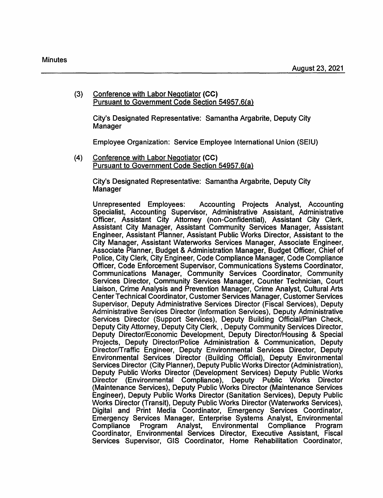#### (3) Conference with Labor Negotiator **(CC)**  Pursuant to Government Code Section 54957.S(a)

City's Designated Representative: Samantha Argabrite, Deputy City **Manager** 

Employee Organization: Service Employee International Union {SEIU)

(4) Conference with Labor Negotiator **(CC)**  Pursuant to Government Code Section 54957.6(a)

> City's Designated Representative: Samantha Argabrite, Deputy City **Manager**

Unrepresented Employees: Accounting Projects Analyst, Accounting Specialist, Accounting Supervisor, Administrative Assistant, Administrative Officer, Assistant City Attorney {non-Confidential), Assistant City Clerk, Assistant City Manager, Assistant Community Services Manager, Assistant Engineer, Assistant Planner, Assistant Public Works Director, Assistant to the City Manager, Assistant Waterworks Services Manager, Associate Engineer, Associate Planner, Budget & Administration Manager, Budget Officer, Chief of Police, City Clerk, City Engineer, Code Compliance Manager, Code Compliance Officer, Code Enforcement Supervisor, Communications Systems Coordinator, Communications Manager, Community Services Coordinator, Community Services Director, Community Services Manager, Counter Technician, Court Liaison, Crime Analysis and Prevention Manager, Crime Analyst, Cultural Arts Center Technical Coordinator, Customer Services Manager, Customer Services Supervisor, Deputy Administrative Services Director (Fiscal Services), Deputy Administrative Services Director (Information Services), Deputy Administrative Services Director (Support Services), Deputy Building Official/Plan Check, Deputy City Attorney, Deputy City Clerk, , Deputy Community Services Director, Deputy Director/Economic Development, Deputy Director/Housing & Special Projects, Deputy Director/Police Administration & Communication, Deputy Director/Traffic Engineer, Deputy Environmental Services Director, Deputy Environmental Services Director (Building Official), Deputy Environmental Services Director {City Planner), Deputy Public Works Director {Administration), Deputy Public Works Director (Development Services) Deputy Public Works Director {Environmental Compliance), Deputy Public Works Director {Maintenance Services), Deputy Public Works Director (Maintenance Services Engineer), Deputy Public Works Director (Sanitation Services), Deputy Public Works Director (Transit), Deputy Public Works Director (Waterworks Services), Digital and Print Media Coordinator, Emergency Services Coordinator, Emergency Services Manager, Enterprise Systems Analyst, Environmental<br>Compliance Program Analyst, Environmental Compliance Program Compliance Program Analyst, Environmental Compliance Program Coordinator, Environmental Services Director, Executive Assistant, Fiscal Services Supervisor, GIS Coordinator, Home Rehabilitation Coordinator,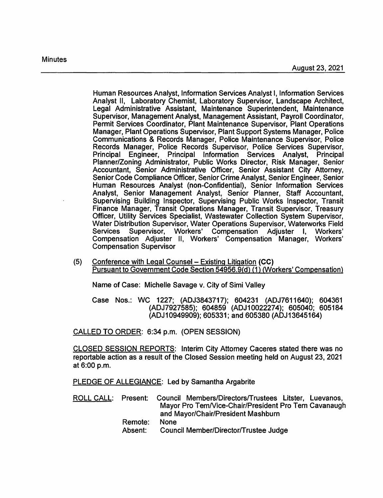Human Resources Analyst, Information Services Analyst I, Information Services Analyst II, Laboratory Chemist, Laboratory Supervisor, Landscape Architect, Legal Administrative Assistant, Maintenance Superintendent, Maintenance Supervisor, Management Analyst, Management Assistant, Payroll Coordinator, Permit Services Coordinator, Plant Maintenance Supervisor, Plant Operations Manager, Plant Operations Supervisor, Plant Support Systems Manager, Police Communications & Records Manager, Police Maintenance Supervisor, Police Records Manager, Police Records Supervisor, Police Services Supervisor, Principal Engineer, Principal Information Services Analyst, Principal Planner/Zoning Administrator, Public Works Director, Risk Manager, Senior Accountant, Senior Administrative Officer, Senior Assistant City Attorney, Senior Code Compliance Officer, Senior Crime Analyst, Senior Engineer, Senior Human Resources Analyst (non-Confidential), Senior Information Services Analyst, Senior Management Analyst, Senior Planner, Staff Accountant, Supervising Building Inspector, Supervising Public Works Inspector, Transit Finance Manager, Transit Operations Manager, Transit Supervisor, Treasury Officer, Utility Services Specialist, Wastewater Collection System Supervisor, Water Distribution Supervisor, Water Operations Supervisor, Waterworks Field<br>Services Supervisor, Workers' Compensation Adiuster I. Workers' Supervisor, Workers' Compensation Adjuster I, Workers' Compensation Adjuster 11, Workers' Compensation Manager, Workers' Compensation Supervisor

(5) Conference with Legal Counsel - Existing Litigation **(CC)**  Pursuant to Government Code Section 54956.9{d) (1) (Workers' Compensation)

Name of Case: Michelle Savage v. City of Simi Valley

Case Nos.: WC 1227; (ADJ3843717); 604231 (ADJ7611640); 604361 (ADJ7927585); 604859 (ADJ10022274); 605040; 605184 (ADJ10949909); 605331; and 605380 (ADJ13645164)

CALLED TO ORDER: 6:34 p.m. (OPEN SESSION)

CLOSED SESSION REPORTS: Interim City Attorney Caceres stated there was no reportable action as a result of the Closed Session meeting held on August 23, 2021 at 6:00 p.m.

PLEDGE OF ALLEGIANCE: Led by Samantha Argabrite

ROLL CALL: Present: Council Members/Directors/Trustees Litster, Luevanos, Mayor Pro Tem/Vice-Chair/President Pro Tem Cavanaugh and Mayor/Chair/President Mashburn Remote: None Absent: Council Member/Director/Trustee Judge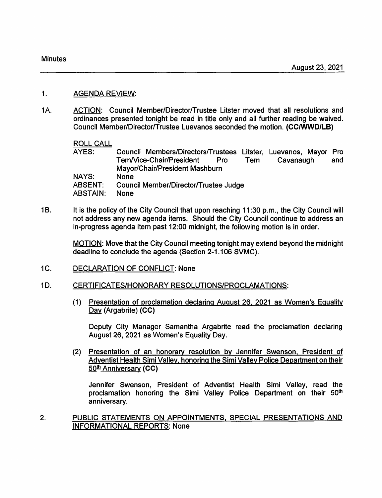#### 1. AGENDA REVIEW:

1A. ACTION: Council Member/Director/Trustee Litster moved that all resolutions and ordinances presented tonight be read in title only and all further reading be waived. Council Member/Director/Trustee Luevanos seconded the motion. **(CC/WWD/LB)** 

# ROLL CALL

|                          |            |                                |                                       | Pro                                                                      |
|--------------------------|------------|--------------------------------|---------------------------------------|--------------------------------------------------------------------------|
| Tem/Vice-Chair/President | <b>Pro</b> | Tem                            |                                       | and                                                                      |
|                          |            |                                |                                       |                                                                          |
| <b>None</b>              |            |                                |                                       |                                                                          |
|                          |            |                                |                                       |                                                                          |
| <b>None</b>              |            |                                |                                       |                                                                          |
|                          |            | Mayor/Chair/President Mashburn | Council Member/Director/Trustee Judge | Council Members/Directors/Trustees Litster, Luevanos, Mayor<br>Cavanaugh |

1B. It is the policy of the City Council that upon reaching 11:30 p.m., the City Council will not address any new agenda items. Should the City Council continue to address an in-progress agenda item past 12:00 midnight, the following motion is in order.

> MOTION: Move that the City Council meeting tonight may extend beyond the midnight deadline to conclude the agenda (Section 2-1.106 SVMC).

- 1C. DECLARATION OF CONFLICT: None
- 1D. CERTIFICATES/HONORARY RESOLUTIONS/PROCLAMATIONS:
	- (1) Presentation of proclamation declaring August 26, 2021 as Women's Equality Day (Argabrite) **(CC)**

Deputy City Manager Samantha Argabrite read the proclamation declaring August 26, 2021 as Women's Equality Day.

(2) Presentation of an honorary resolution by Jennifer Swenson, President of Adventist Health Simi Valley, honoring the Simi Valley Police Department on their 50<sup>th</sup> Anniversary **(CC)** 

Jennifer Swenson, President of Adventist Health Simi Valley, read the proclamation honoring the Simi Valley Police Department on their 50<sup>th</sup> anniversary.

#### 2. PUBLIC STATEMENTS ON APPOINTMENTS, SPECIAL PRESENTATIONS AND INFORMATIONAL REPORTS: None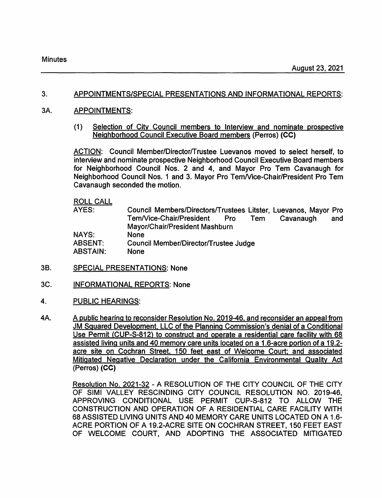#### 3. APPOINTMENTS/SPECIAL PRESENTATIONS AND INFORMATIONAL REPORTS:

- 3A. APPOINTMENTS:
	- (1) Selection of City Council members to Interview and nominate prospective Neighborhood Council Executive Board members (Perras) **(CC)**

ACTION: Council Member/Director/Trustee Luevanos moved to select herself, to interview and nominate prospective Neighborhood Council Executive Board members for Neighborhood Council Nos. 2 and 4, and Mayor Pro Tem Cavanaugh for Neighborhood Council Nos. 1 and 3. Mayor Pro Tem/Vice-Chair/President Pro Tem Cavanaugh seconded the motion.

## ROLL CALL

| AYES:          | Council Members/Directors/Trustees Litster, Luevanos, Mayor Pro   |  |
|----------------|-------------------------------------------------------------------|--|
|                | Tem/Vice-Chair/President<br>Cavanaugh<br><b>Pro</b><br>Tem<br>and |  |
|                | Mayor/Chair/President Mashburn                                    |  |
| <b>NAYS:</b>   | None                                                              |  |
| <b>ABSENT:</b> | Council Member/Director/Trustee Judge                             |  |
| ABSTAIN:       | None                                                              |  |

- 3B. SPECIAL PRESENTATIONS: None
- 3C. INFORMATIONAL REPORTS: None
- 4. PUBLIC HEARINGS:
- 4A. A public hearing to reconsider Resolution No. 2019-46, and reconsider an appeal from JM Squared Development. LLC of the Planning Commission's denial of a Conditional Use Permit (CUP-S-812) to construct and operate a residential care facility with 68 assisted living units and 40 memory care units located on a 1.6-acre portion of a 19.2 acre site on Cochran Street, 150 feet east of Welcome Court; and associated Mitigated Negative Declaration under the California Environmental Quality Act (Perros) **(CC)**

Resolution No. 2021-32 - A RESOLUTION OF THE CITY COUNCIL OF THE CITY OF SIMI VALLEY RESCINDING CITY COUNCIL RESOLUTION NO. 2019-46, APPROVING CONDITIONAL USE PERMIT CUP-S-812 TO ALLOW THE CONSTRUCTION AND OPERATION OF A RESIDENTIAL CARE FACILITY WITH 68 ASSISTED LIVING UNITS AND 40 MEMORY CARE UNITS LOCATED ON A 1.6- ACRE PORTION OF A 19.2-ACRE SITE ON COCHRAN STREET, 150 FEET EAST OF WELCOME COURT, AND ADOPTING THE ASSOCIATED MITIGATED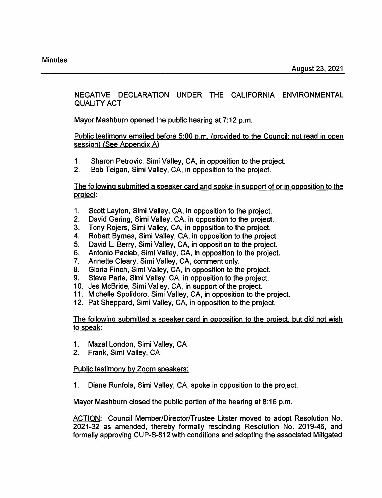NEGATIVE DECLARATION UNDER THE CALIFORNIA ENVIRONMENTAL QUALITY ACT

Mayor Mashburn opened the public hearing at 7:12 p.m.

# Public testimony emailed before 5:00 p.m. {provided to the Council: not read in open session) (See Appendix A)

- 1. Sharon Petrovic, Simi Valley, CA, in opposition to the project.
- 2. Bob Teigan, Simi Valley, CA, in opposition to the project.

The following submitted a speaker card and spoke in support of or in opposition to the proiect:

- 1. Scott Layton, Simi Valley, CA, in opposition to the project.
- 2. David Gering, Simi Valley, CA, in opposition to the project.
- 3. Tony Rojers, Simi Valley, CA, in opposition to the project.
- 4. Robert Byrnes, Simi Valley, CA, in opposition to the project.
- 5. David L. Berry, Simi Valley, CA, in opposition to the project.
- 6. Antonio Pacleb, Simi Valley, CA, in opposition to the project.
- 7. Annette Cleary, Simi Valley, CA, comment only.
- 8. Gloria Finch, Simi Valley, CA, in opposition to the project.
- 9. Steve Parle, Simi Valley, CA, in opposition to the project.
- 10. Jes McBride, Simi Valley, CA, in support of the project.
- 11. Michelle Spolidoro, Simi Valley, CA, in opposition to the project.
- 12. Pat Sheppard, Simi Valley, CA, in opposition to the project.

The following submitted a speaker card in opposition to the project. but did not wish to speak:

- 1. Mazal London, Simi Valley, CA
- 2. Frank, Simi Valley, CA

# Public testimony by Zoom speakers:

1. Diane Runfola, Simi Valley, CA, spoke in opposition to the project.

Mayor Mashburn closed the public portion of the hearing at 8:16 p.m.

ACTION: Council Member/Director/Trustee Litster moved to adopt Resolution No. 2021-32 as amended, thereby formally rescinding Resolution No. 2019-46, and formally approving CUP-S-812 with conditions and adopting the associated Mitigated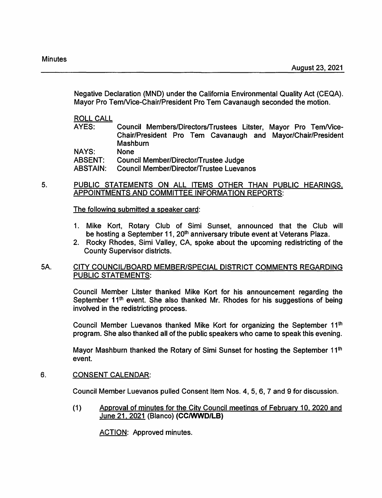Negative Declaration (MND) under the California Environmental Quality Act (CEQA). Mayor Pro Tem/Vice-Chair/President Pro Tem Cavanaugh seconded the motion.

ROLL CALL

AYES: Council Members/Directors/Trustees Litster, Mayor Pro TemNice-Chair/President Pro Tern Cavanaugh and Mayor/Chair/President **Mashburn** 

- NAYS: None
- ABSENT: Council Member/Director/Trustee Judge
- ABSTAIN: Council Member/Director/Trustee Luevanos

### 5. PUBLIC STATEMENTS ON ALL ITEMS OTHER THAN PUBLIC HEARINGS, APPOINTMENTS AND COMMITTEE INFORMATION REPORTS:

The following submitted a speaker card:

- 1. Mike Kort, Rotary Club of Simi Sunset, announced that the Club will be hosting a September 11, 20<sup>th</sup> anniversary tribute event at Veterans Plaza.
- 2. Rocky Rhodes, Simi Valley, CA, spoke about the upcoming redistricting of the County Supervisor districts.

#### 5A. CITY COUNCIL/BOARD MEMBER/SPECIAL DISTRICT COMMENTS REGARDING PUBLIC STATEMENTS:

Council Member Litster thanked Mike Kort for his announcement regarding the September  $11<sup>th</sup>$  event. She also thanked Mr. Rhodes for his suggestions of being involved in the redistricting process.

Council Member Luevanos thanked Mike Kort for organizing the September  $11<sup>th</sup>$ program. She also thanked all of the public speakers who came to speak this evening.

Mayor Mashburn thanked the Rotary of Simi Sunset for hosting the September 11<sup>th</sup> event.

## 6. CONSENT CALENDAR:

Council Member Luevanos pulled Consent Item Nos. 4, 5, 6, 7 and 9 for discussion.

(1) Approval of minutes for the City Council meetings of February 10, 2020 and June 21, 2021 (Blanco) **(CC/WWD/LB)** 

ACTION: Approved minutes.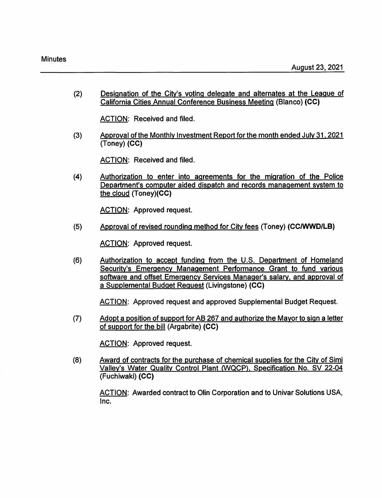| (2) | Designation of the City's voting delegate and alternates at the League of |  |
|-----|---------------------------------------------------------------------------|--|
|     | California Cities Annual Conference Business Meeting (Blanco) (CC)        |  |

ACTION: Received and filed.

(3) Approval of the Monthly Investment Report for the month ended July 31, 2021 (Toney) **(CC)** 

ACTION: Received and filed.

(4) Authorization to enter into agreements for the migration of the Police Department's computer aided dispatch and records management system to the cloud (Toney)(CC)

ACTION: Approved request.

(5) Approval of revised rounding method for City fees (Toney) **(CCJWWD/LB)** 

ACTION: Approved request.

(6) Authorization to accept funding from the U.S. Department of Homeland Security's Emergency Management Performance Grant to fund various software and offset Emergency Services Manager's salary, and approval of a Supplemental Budget Request (Livingstone) **(CC)** 

ACTION: Approved request and approved Supplemental Budget Request.

(7) Adopt a position of support for AB 267 and authorize the Mayor to sign a letter of support for the bill (Argabrite) **(CC)** 

ACTION: Approved request.

(8) Award of contracts for the purchase of chemical supplies for the City of Simi Valley's Water Quality Control Plant (WQCP), Specification No. SV 22-04 (Fuchiwaki) **(CC)** 

ACTION: Awarded contract to Olin Corporation and to Univar Solutions USA, Inc.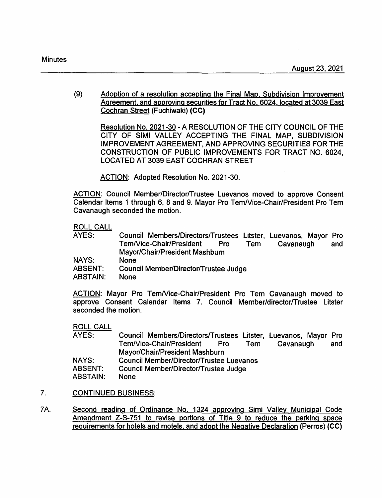(9) Adoption of a resolution accepting the Final Map. Subdivision Improvement Agreement. and approving securities for Tract No. 6024, located at 3039 East Cochran Street (Fuchiwaki) **(CC)** 

Resolution No. 2021-30 - A RESOLUTION OF THE CITY COUNCIL OF THE CITY OF SIMI VALLEY ACCEPTING THE FINAL MAP, SUBDIVISION IMPROVEMENT AGREEMENT, AND APPROVING SECURITIES FOR THE CONSTRUCTION OF PUBLIC IMPROVEMENTS FOR TRACT NO. 6024, LOCATED AT 3039 EAST COCHRAN STREET

ACTION: Adopted Resolution No. 2021-30.

ACTION: Council Member/Director/Trustee Luevanos moved to approve Consent Calendar Items 1 through 6, 8 and 9. Mayor Pro Tem/Vice-Chair/President Pro Tem Cavanaugh seconded the motion.

ROLL CALL

| AYES:           | Council Members/Directors/Trustees Litster, Luevanos, Mayor Pro   |
|-----------------|-------------------------------------------------------------------|
|                 | Tem/Vice-Chair/President<br><b>Pro</b><br>Cavanaugh<br>Tem<br>and |
|                 | Mayor/Chair/President Mashburn                                    |
| <b>NAYS:</b>    | <b>None</b>                                                       |
| <b>ABSENT:</b>  | <b>Council Member/Director/Trustee Judge</b>                      |
| <b>ABSTAIN:</b> | <b>None</b>                                                       |
|                 |                                                                   |

ACTION: Mayor Pro TemNice-Chair/President Pro Tern Cavanaugh moved to approve Consent Calendar Items 7. Council Member/director/Trustee Litster seconded the motion.

ROLL CALL

| AYES:          | Council Members/Directors/Trustees Litster, Luevanos, Mayor Pro |                  |
|----------------|-----------------------------------------------------------------|------------------|
|                | Tem/Vice-Chair/President<br>Pro<br>Tem                          | Cavanaugh<br>and |
|                | Mayor/Chair/President Mashburn                                  |                  |
| NAYS:          | <b>Council Member/Director/Trustee Luevanos</b>                 |                  |
| <b>ABSENT:</b> | Council Member/Director/Trustee Judge                           |                  |
|                |                                                                 |                  |

- ABSTAIN: None
- 7. CONTINUED BUSINESS:
- 7A. Second reading of Ordinance No. 1324 approving Simi Valley Municipal Code Amendment Z-S-751 to revise portions of Title 9 to reduce the parking space requirements for hotels and motels, and adopt the Negative Declaration (Perros) **(CC)**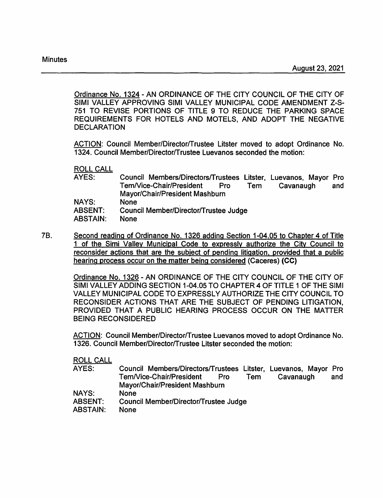Ordinance No. 1324 - AN ORDINANCE OF THE CITY COUNCIL OF THE CITY OF SIMI VALLEY APPROVING SIMI VALLEY MUNICIPAL CODE AMENDMENT Z-S-751 TO REVISE PORTIONS OF TITLE 9 TO REDUCE THE PARKING SPACE REQUIREMENTS FOR HOTELS AND MOTELS, AND ADOPT THE NEGATIVE **DECLARATION** 

ACTION: Council Member/Director/Trustee Litster moved to adopt Ordinance No. 1324. Council Member/Director/Trustee Luevanos seconded the motion:

ROLL CALL

| AYES:          | Council Members/Directors/Trustees Litster, Luevanos, Mayor Pro |     |
|----------------|-----------------------------------------------------------------|-----|
|                | Tem/Vice-Chair/President<br>Cavanaugh<br>Tem<br>Pro             | and |
|                | Mayor/Chair/President Mashburn                                  |     |
| <b>NAYS:</b>   | <b>None</b>                                                     |     |
| <b>ABSENT:</b> | Council Member/Director/Trustee Judge                           |     |
| ABSTAIN:       | <b>None</b>                                                     |     |

78. Second reading of Ordinance No. 1326 adding Section 1-04.05 to Chapter 4 of Title 1 of the Simi Valley Municipal Code to expressly authorize the City Council to reconsider actions that are the subiect of pending litigation, provided that a public hearing process occur on the matter being considered (Caceres) **(CC)** 

> Ordinance No. 1326 - AN ORDINANCE OF THE CITY COUNCIL OF THE CITY OF SIMI VALLEY ADDING SECTION 1-04.05 TO CHAPTER 4 OF TITLE 1 OF THE SIMI VALLEY MUNICIPAL CODE TO EXPRESSLY AUTHORIZE THE CITY COUNCIL TO RECONSIDER ACTIONS THAT ARE THE SUBJECT OF PENDING LITIGATION, PROVIDED THAT A PUBLIC HEARING PROCESS OCCUR ON THE MATTER BEING RECONSIDERED

> ACTION: Council Member/Director/Trustee Luevanos moved to adopt Ordinance No. 1326. Council Member/Director/Trustee Litster seconded the motion:

ROLL CALL

| AYES:          | Council Members/Directors/Trustees Litster, Luevanos, Mayor Pro |     |     |           |     |
|----------------|-----------------------------------------------------------------|-----|-----|-----------|-----|
|                | Tem/Vice-Chair/President                                        | Pro | Tem | Cavanaugh | and |
|                | Mayor/Chair/President Mashburn                                  |     |     |           |     |
| <b>NAYS:</b>   | <b>None</b>                                                     |     |     |           |     |
| <b>ABSENT:</b> | Council Member/Director/Trustee Judge                           |     |     |           |     |
| ABSTAIN:       | <b>None</b>                                                     |     |     |           |     |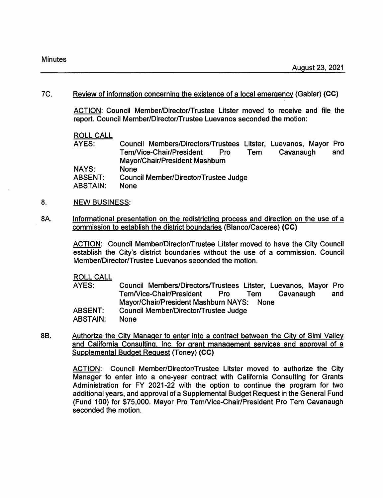#### 7C. Review of information concerning the existence of a local emergency (Gabler) **(CC)**

ACTION: Council Member/Director/Trustee Litster moved to receive and file the report. Council Member/Director/Trustee Luevanos seconded the motion:

### ROLL CALL

AYES: NAYS: ABSENT: ABSTAIN: Council Members/Directors/Trustees Litster, Luevanos, Mayor Pro Tem/Vice-Chair/President Pro Tem Cavanaugh and Mayor/Chair/President Mashburn None Council Member/Director/Trustee Judge None

- 8. NEW BUSINESS:
- *BA.*  Informational presentation on the redistricting process and direction on the use of a commission to establish the district boundaries (Blanco/Caceres) **(CC)**

ACTION: Council Member/Director/Trustee Litster moved to have the City Council establish the City's district boundaries without the use of a commission. Council Member/Director/Trustee Luevanos seconded the motion.

ROLL CALL

AYES: ABSENT: Council Members/Directors/Trustees Litster, Luevanos, Mayor Pro Tem/Vice-Chair/President Pro Tem Cavanaugh and Mayor/Chair/President Mashburn NAYS: None Council Member/Director/Trustee Judge

ABSTAIN: None

8B. Authorize the City Manager to enter into a contract between the City of Simi Valley and California Consulting, Inc. for grant management services and approval of a Supplemental Budget Request (Toney) **(CC)** 

> ACTION: Council Member/Director/Trustee Litster moved to authorize the City Manager to enter into a one-year contract with California Consulting for Grants Administration for FY 2021-22 with the option to continue the program for two additional years, and approval of a Supplemental Budget Request in the General Fund (Fund 100) for \$75,000. Mayor Pro Tem/Vice-Chair/President Pro Tem Cavanaugh seconded the motion.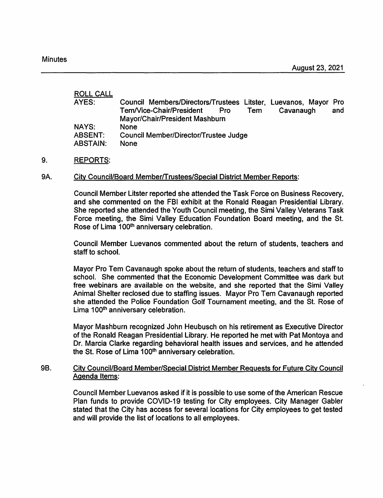| <b>ROLL CALL</b> |                                                                 |  |
|------------------|-----------------------------------------------------------------|--|
| AYES:            | Council Members/Directors/Trustees Litster, Luevanos, Mayor Pro |  |
|                  | Tem/Vice-Chair/President<br>Cavanaugh<br>Tem<br>and<br>Pro      |  |
|                  | Mayor/Chair/President Mashburn                                  |  |
| NAYS:            | None                                                            |  |
| <b>ABSENT:</b>   | Council Member/Director/Trustee Judge                           |  |
| <b>ABSTAIN:</b>  | <b>None</b>                                                     |  |

#### 9. REPORTS:

#### 9A. City Council/Board Member/Trustees/Special District Member Reports:

Council Member Litster reported she attended the Task Force on Business Recovery, and she commented on the FBI exhibit at the Ronald Reagan Presidential Library. She reported she attended the Youth Council meeting, the Simi Valley Veterans Task Force meeting, the Simi Valley Education Foundation Board meeting, and the St. Rose of Lima 100<sup>th</sup> anniversary celebration.

Council Member Luevanos commented about the return of students, teachers and staff to school.

Mayor Pro Tern Cavanaugh spoke about the return of students, teachers and staff to school. She commented that the Economic Development Committee was dark but free webinars are available on the website, and she reported that the Simi Valley Animal Shelter reclosed due to staffing issues. Mayor Pro Tem Cavanaugh reported she attended the Police Foundation Golf Tournament meeting, and the St. Rose of Lima 100<sup>th</sup> anniversary celebration.

Mayor Mashburn recognized John Heubusch on his retirement as Executive Director of the Ronald Reagan Presidential Library. He reported he met with Pat Montoya and Dr. Marcia Clarke regarding behavioral health issues and services, and he attended the St. Rose of Lima 100<sup>th</sup> anniversary celebration.

#### 98. City Council/Board Member/Special District Member Requests for Future City Council Agenda Items:

Council Member Luevanos asked if it is possible to use some of the American Rescue Plan funds to provide COVID-19 testing for City employees. City Manager Gabler stated that the City has access for several locations for City employees to get tested and will provide the list of locations to all employees.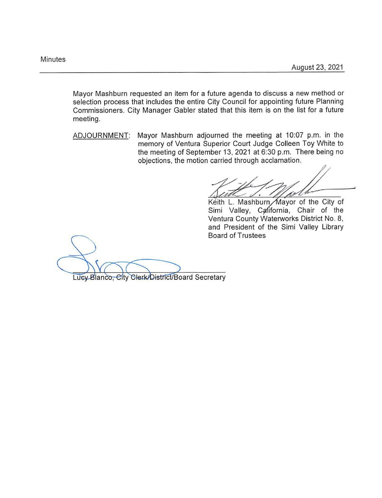Mayor Mashburn requested an item for a future agenda to discuss a new method or selection process that includes the entire City Council for appointing future Planning Commissioners. City Manager Gabler stated that this item is on the list for a future meeting.

ADJOURNMENT: Mayor Mashburn adjourned the meeting at 10:07 p.m. in the memory of Ventura Superior Court Judge Colleen Toy White to the meeting of September 13, 2021 at 6:30 p.m. There being no objections, the motion carried through acclamation.

the City of

Keith L. Mashburn, Mayor of the City of Simi Valley, California, Chair of the Ventura County Waterworks District No. 8, and President of the Simi Valley Library Board of Trustees

Lucy Blanco, City Clerk/District/Board Secretary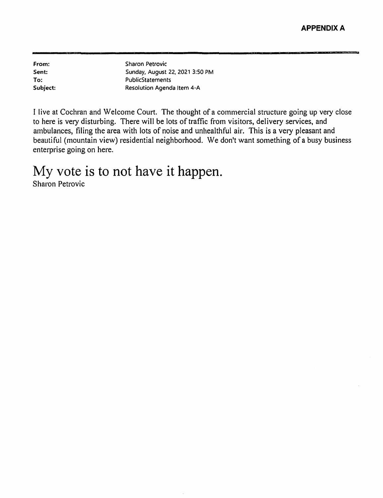| From:    | Sharon Petrovic                 |
|----------|---------------------------------|
| Sent:    | Sunday, August 22, 2021 3:50 PM |
| To:      | PublicStatements                |
| Subject: | Resolution Agenda Item 4-A      |

I live at Cochran and Welcome Court. The thought of a commercial structure going up very close to here is very disturbing. There will be lots of traffic from visitors, delivery services, and ambulances, filing the area with lots of noise and unhealthful air. This is a very pleasant and beautiful (mountain view) residential neighborhood. We don't want something of a busy business enterprise going on here.

# My vote is to not have it happen.

Sharon Petrovic